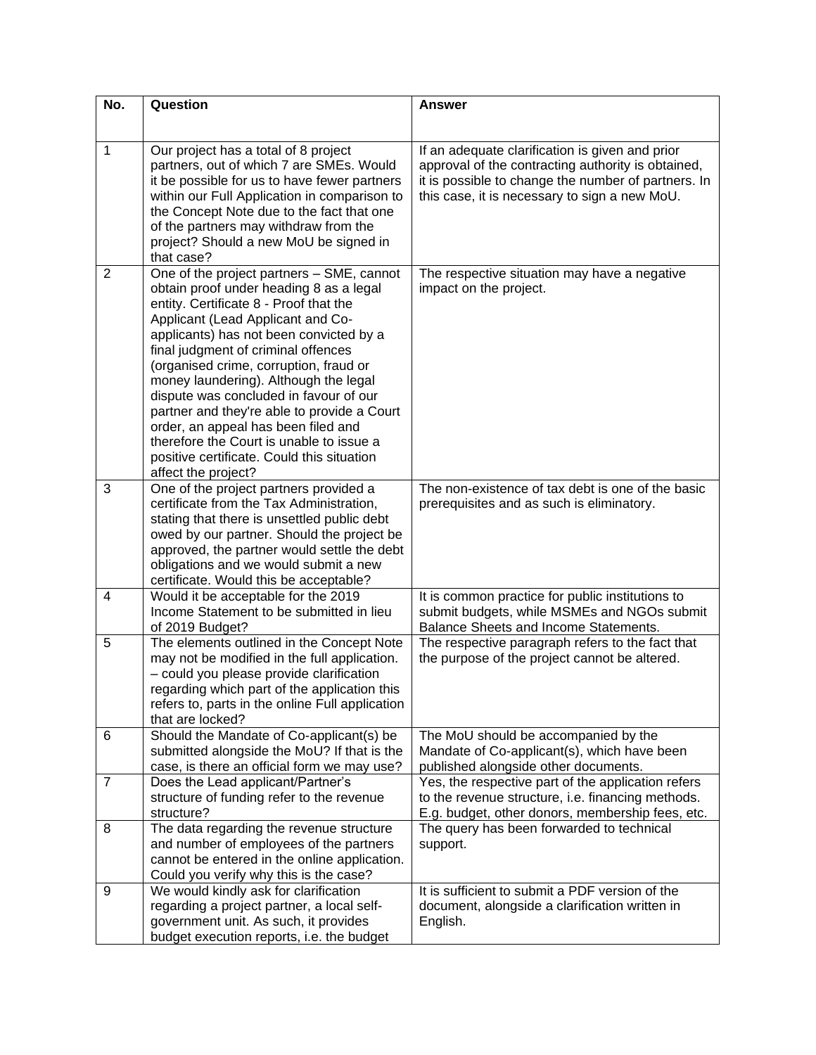| No.            | Question                                                                                                                                                                                                                                                                                                                                                                                                                                                                                                                                                                                  | <b>Answer</b>                                                                                                                                                                                                 |
|----------------|-------------------------------------------------------------------------------------------------------------------------------------------------------------------------------------------------------------------------------------------------------------------------------------------------------------------------------------------------------------------------------------------------------------------------------------------------------------------------------------------------------------------------------------------------------------------------------------------|---------------------------------------------------------------------------------------------------------------------------------------------------------------------------------------------------------------|
|                |                                                                                                                                                                                                                                                                                                                                                                                                                                                                                                                                                                                           |                                                                                                                                                                                                               |
| 1              | Our project has a total of 8 project<br>partners, out of which 7 are SMEs. Would<br>it be possible for us to have fewer partners<br>within our Full Application in comparison to<br>the Concept Note due to the fact that one<br>of the partners may withdraw from the<br>project? Should a new MoU be signed in<br>that case?                                                                                                                                                                                                                                                            | If an adequate clarification is given and prior<br>approval of the contracting authority is obtained,<br>it is possible to change the number of partners. In<br>this case, it is necessary to sign a new MoU. |
| $\overline{2}$ | One of the project partners - SME, cannot<br>obtain proof under heading 8 as a legal<br>entity. Certificate 8 - Proof that the<br>Applicant (Lead Applicant and Co-<br>applicants) has not been convicted by a<br>final judgment of criminal offences<br>(organised crime, corruption, fraud or<br>money laundering). Although the legal<br>dispute was concluded in favour of our<br>partner and they're able to provide a Court<br>order, an appeal has been filed and<br>therefore the Court is unable to issue a<br>positive certificate. Could this situation<br>affect the project? | The respective situation may have a negative<br>impact on the project.                                                                                                                                        |
| 3              | One of the project partners provided a<br>certificate from the Tax Administration,<br>stating that there is unsettled public debt<br>owed by our partner. Should the project be<br>approved, the partner would settle the debt<br>obligations and we would submit a new<br>certificate. Would this be acceptable?                                                                                                                                                                                                                                                                         | The non-existence of tax debt is one of the basic<br>prerequisites and as such is eliminatory.                                                                                                                |
| 4              | Would it be acceptable for the 2019<br>Income Statement to be submitted in lieu<br>of 2019 Budget?                                                                                                                                                                                                                                                                                                                                                                                                                                                                                        | It is common practice for public institutions to<br>submit budgets, while MSMEs and NGOs submit<br>Balance Sheets and Income Statements.                                                                      |
| 5              | The elements outlined in the Concept Note<br>may not be modified in the full application.<br>- could you please provide clarification<br>regarding which part of the application this<br>refers to, parts in the online Full application<br>that are locked?                                                                                                                                                                                                                                                                                                                              | The respective paragraph refers to the fact that<br>the purpose of the project cannot be altered.                                                                                                             |
| 6              | Should the Mandate of Co-applicant(s) be<br>submitted alongside the MoU? If that is the<br>case, is there an official form we may use?                                                                                                                                                                                                                                                                                                                                                                                                                                                    | The MoU should be accompanied by the<br>Mandate of Co-applicant(s), which have been<br>published alongside other documents.                                                                                   |
| $\overline{7}$ | Does the Lead applicant/Partner's<br>structure of funding refer to the revenue<br>structure?                                                                                                                                                                                                                                                                                                                                                                                                                                                                                              | Yes, the respective part of the application refers<br>to the revenue structure, i.e. financing methods.<br>E.g. budget, other donors, membership fees, etc.                                                   |
| 8              | The data regarding the revenue structure<br>and number of employees of the partners<br>cannot be entered in the online application.<br>Could you verify why this is the case?                                                                                                                                                                                                                                                                                                                                                                                                             | The query has been forwarded to technical<br>support.                                                                                                                                                         |
| 9              | We would kindly ask for clarification<br>regarding a project partner, a local self-<br>government unit. As such, it provides<br>budget execution reports, i.e. the budget                                                                                                                                                                                                                                                                                                                                                                                                                 | It is sufficient to submit a PDF version of the<br>document, alongside a clarification written in<br>English.                                                                                                 |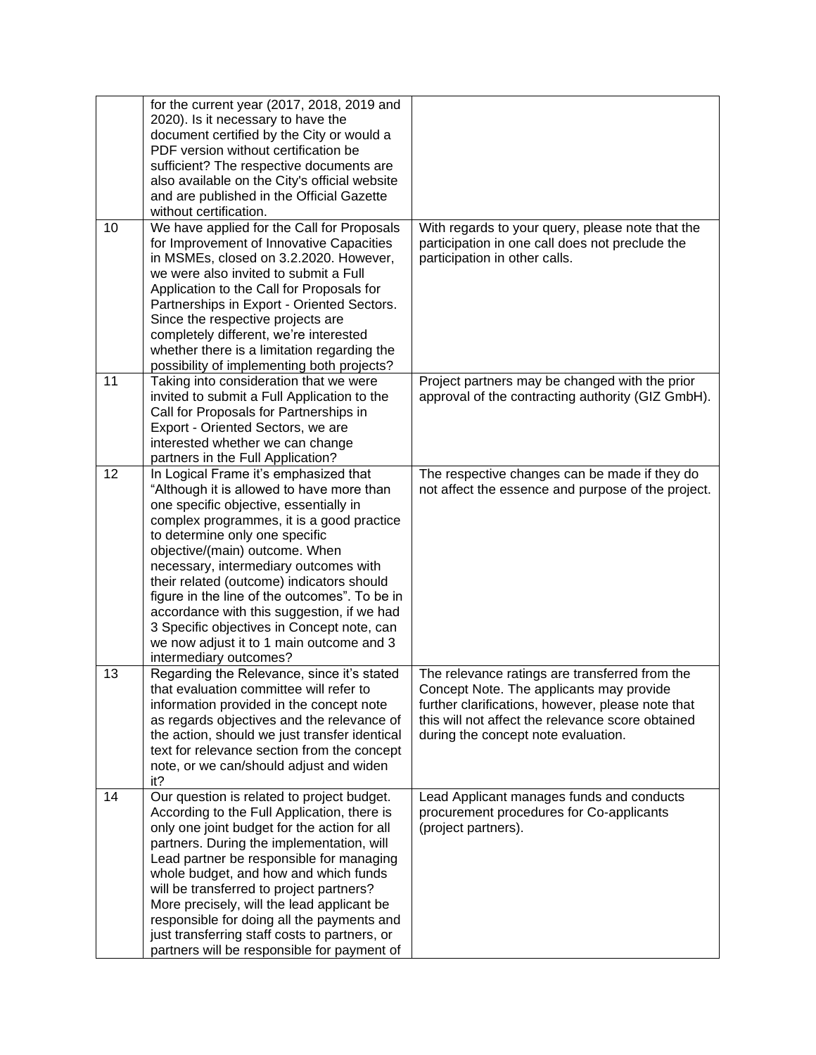|    | for the current year (2017, 2018, 2019 and<br>2020). Is it necessary to have the<br>document certified by the City or would a<br>PDF version without certification be<br>sufficient? The respective documents are<br>also available on the City's official website<br>and are published in the Official Gazette<br>without certification.                                                                                                                                                                                                              |                                                                                                                                                                                                                                             |
|----|--------------------------------------------------------------------------------------------------------------------------------------------------------------------------------------------------------------------------------------------------------------------------------------------------------------------------------------------------------------------------------------------------------------------------------------------------------------------------------------------------------------------------------------------------------|---------------------------------------------------------------------------------------------------------------------------------------------------------------------------------------------------------------------------------------------|
| 10 | We have applied for the Call for Proposals<br>for Improvement of Innovative Capacities<br>in MSMEs, closed on 3.2.2020. However,<br>we were also invited to submit a Full<br>Application to the Call for Proposals for<br>Partnerships in Export - Oriented Sectors.<br>Since the respective projects are<br>completely different, we're interested<br>whether there is a limitation regarding the<br>possibility of implementing both projects?                                                                                                       | With regards to your query, please note that the<br>participation in one call does not preclude the<br>participation in other calls.                                                                                                        |
| 11 | Taking into consideration that we were<br>invited to submit a Full Application to the<br>Call for Proposals for Partnerships in<br>Export - Oriented Sectors, we are<br>interested whether we can change<br>partners in the Full Application?                                                                                                                                                                                                                                                                                                          | Project partners may be changed with the prior<br>approval of the contracting authority (GIZ GmbH).                                                                                                                                         |
| 12 | In Logical Frame it's emphasized that<br>"Although it is allowed to have more than<br>one specific objective, essentially in<br>complex programmes, it is a good practice<br>to determine only one specific<br>objective/(main) outcome. When<br>necessary, intermediary outcomes with<br>their related (outcome) indicators should<br>figure in the line of the outcomes". To be in<br>accordance with this suggestion, if we had<br>3 Specific objectives in Concept note, can<br>we now adjust it to 1 main outcome and 3<br>intermediary outcomes? | The respective changes can be made if they do<br>not affect the essence and purpose of the project.                                                                                                                                         |
| 13 | Regarding the Relevance, since it's stated<br>that evaluation committee will refer to<br>information provided in the concept note<br>as regards objectives and the relevance of<br>the action, should we just transfer identical<br>text for relevance section from the concept<br>note, or we can/should adjust and widen<br>it?                                                                                                                                                                                                                      | The relevance ratings are transferred from the<br>Concept Note. The applicants may provide<br>further clarifications, however, please note that<br>this will not affect the relevance score obtained<br>during the concept note evaluation. |
| 14 | Our question is related to project budget.<br>According to the Full Application, there is<br>only one joint budget for the action for all<br>partners. During the implementation, will<br>Lead partner be responsible for managing<br>whole budget, and how and which funds<br>will be transferred to project partners?<br>More precisely, will the lead applicant be<br>responsible for doing all the payments and<br>just transferring staff costs to partners, or<br>partners will be responsible for payment of                                    | Lead Applicant manages funds and conducts<br>procurement procedures for Co-applicants<br>(project partners).                                                                                                                                |